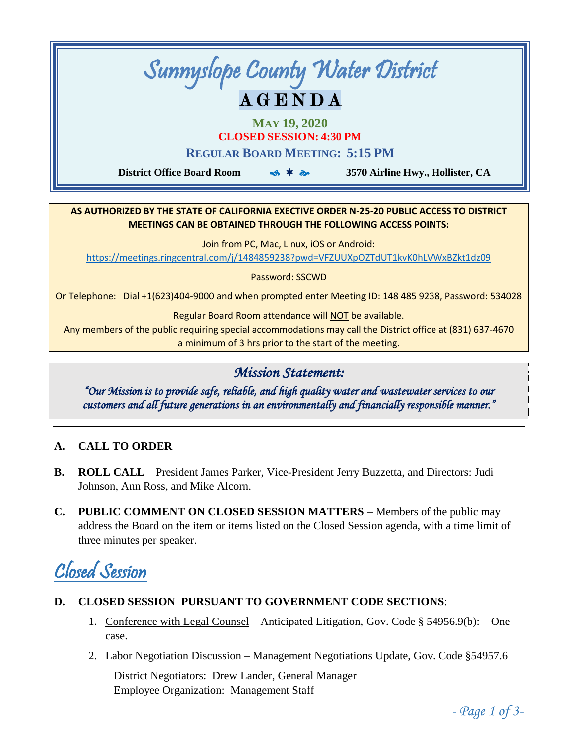# Sunnyslope County Water District A G E N D A

**MAY 19, 2020**

**CLOSED SESSION: 4:30 PM**

**REGULAR BOARD MEETING: 5:15 PM**

 **District Office Board Room 3570 Airline Hwy., Hollister, CA**

#### **AS AUTHORIZED BY THE STATE OF CALIFORNIA EXECTIVE ORDER N-25-20 PUBLIC ACCESS TO DISTRICT MEETINGS CAN BE OBTAINED THROUGH THE FOLLOWING ACCESS POINTS:**

Join from PC, Mac, Linux, iOS or Android:

<https://meetings.ringcentral.com/j/1484859238?pwd=VFZUUXpOZTdUT1kvK0hLVWxBZkt1dz09>

Password: SSCWD

Or Telephone: Dial +1(623)404-9000 and when prompted enter Meeting ID: 148 485 9238, Password: 534028

Regular Board Room attendance will NOT be available.

Any members of the public requiring special accommodations may call the District office at (831) 637-4670 a minimum of 3 hrs prior to the start of the meeting.

## *Mission Statement:*

*"Our Mission is to provide safe, reliable, and high quality water and wastewater services to our customers and all future generations in an environmentally and financially responsible manner."* 

### **A. CALL TO ORDER**

- **B. ROLL CALL**  President James Parker, Vice-President Jerry Buzzetta, and Directors: Judi Johnson, Ann Ross, and Mike Alcorn.
- **C. PUBLIC COMMENT ON CLOSED SESSION MATTERS**  Members of the public may address the Board on the item or items listed on the Closed Session agenda, with a time limit of three minutes per speaker.

## Closed Session

- **D. CLOSED SESSION PURSUANT TO GOVERNMENT CODE SECTIONS**:
	- 1. Conference with Legal Counsel Anticipated Litigation, Gov. Code § 54956.9(b): One case.
	- 2. Labor Negotiation Discussion Management Negotiations Update, Gov. Code §54957.6

District Negotiators: Drew Lander, General Manager Employee Organization: Management Staff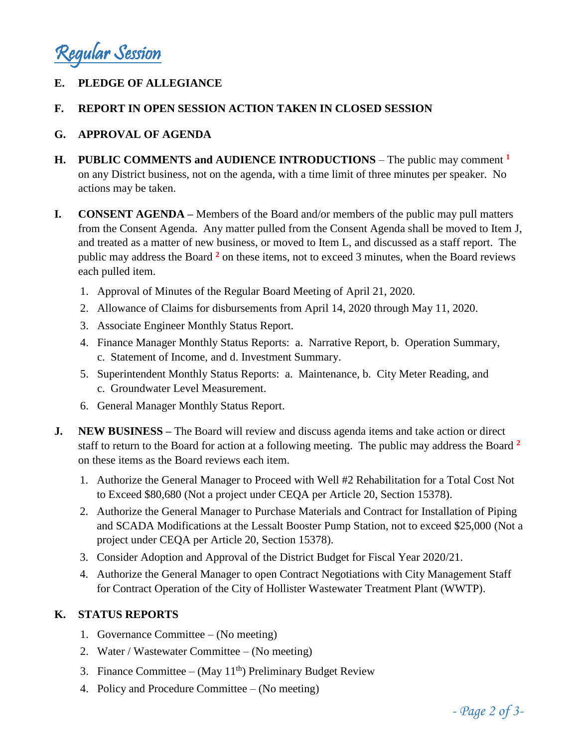Regular Session

### **E. PLEDGE OF ALLEGIANCE**

#### **F. REPORT IN OPEN SESSION ACTION TAKEN IN CLOSED SESSION**

#### **G. APPROVAL OF AGENDA**

- **H. PUBLIC COMMENTS and AUDIENCE INTRODUCTIONS** The public may comment **<sup>1</sup>** on any District business, not on the agenda, with a time limit of three minutes per speaker. No actions may be taken.
- **I. CONSENT AGENDA –** Members of the Board and/or members of the public may pull matters from the Consent Agenda. Any matter pulled from the Consent Agenda shall be moved to Item J, and treated as a matter of new business, or moved to Item L, and discussed as a staff report. The public may address the Board **<sup>2</sup>** on these items, not to exceed 3 minutes, when the Board reviews each pulled item.
	- 1. Approval of Minutes of the Regular Board Meeting of April 21, 2020.
	- 2. Allowance of Claims for disbursements from April 14, 2020 through May 11, 2020.
	- 3. Associate Engineer Monthly Status Report.
	- 4. Finance Manager Monthly Status Reports: a. Narrative Report, b. Operation Summary, c. Statement of Income, and d. Investment Summary.
	- 5. Superintendent Monthly Status Reports: a. Maintenance, b. City Meter Reading, and c. Groundwater Level Measurement.
	- 6. General Manager Monthly Status Report.
- **J. NEW BUSINESS –** The Board will review and discuss agenda items and take action or direct staff to return to the Board for action at a following meeting. The public may address the Board **<sup>2</sup>** on these items as the Board reviews each item.
	- 1. Authorize the General Manager to Proceed with Well #2 Rehabilitation for a Total Cost Not to Exceed \$80,680 (Not a project under CEQA per Article 20, Section 15378).
	- 2. Authorize the General Manager to Purchase Materials and Contract for Installation of Piping and SCADA Modifications at the Lessalt Booster Pump Station, not to exceed \$25,000 (Not a project under CEQA per Article 20, Section 15378).
	- 3. Consider Adoption and Approval of the District Budget for Fiscal Year 2020/21.
	- 4. Authorize the General Manager to open Contract Negotiations with City Management Staff for Contract Operation of the City of Hollister Wastewater Treatment Plant (WWTP).

#### **K. STATUS REPORTS**

- 1. Governance Committee (No meeting)
- 2. Water / Wastewater Committee (No meeting)
- 3. Finance Committee (May  $11<sup>th</sup>$ ) Preliminary Budget Review
- 4. Policy and Procedure Committee (No meeting)